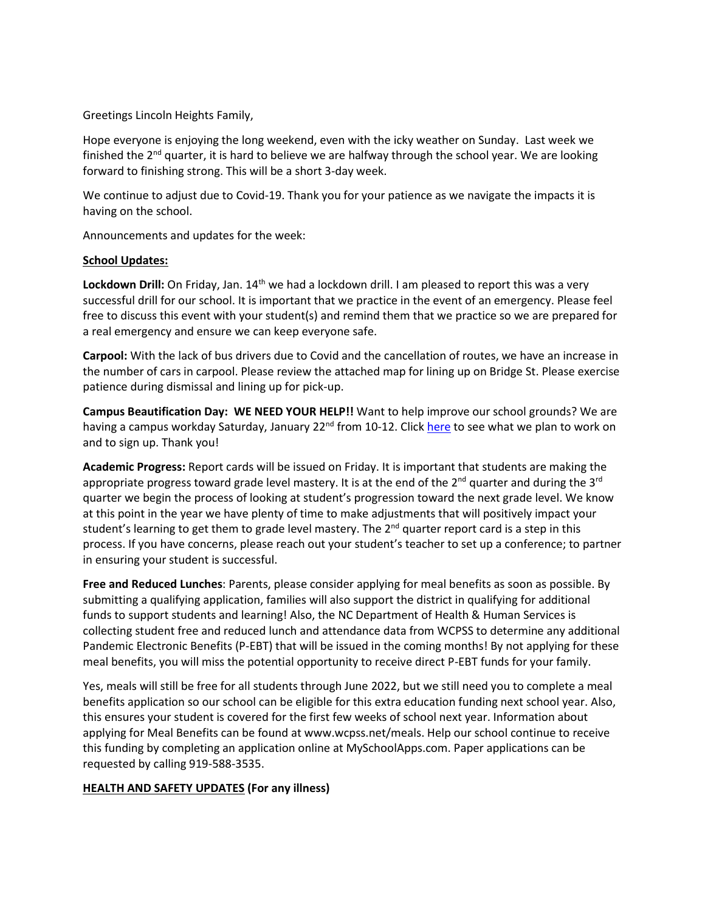Greetings Lincoln Heights Family,

Hope everyone is enjoying the long weekend, even with the icky weather on Sunday. Last week we finished the  $2<sup>nd</sup>$  quarter, it is hard to believe we are halfway through the school year. We are looking forward to finishing strong. This will be a short 3-day week.

We continue to adjust due to Covid-19. Thank you for your patience as we navigate the impacts it is having on the school.

Announcements and updates for the week:

## **School Updates:**

Lockdown Drill: On Friday, Jan. 14<sup>th</sup> we had a lockdown drill. I am pleased to report this was a very successful drill for our school. It is important that we practice in the event of an emergency. Please feel free to discuss this event with your student(s) and remind them that we practice so we are prepared for a real emergency and ensure we can keep everyone safe.

**Carpool:** With the lack of bus drivers due to Covid and the cancellation of routes, we have an increase in the number of cars in carpool. Please review the attached map for lining up on Bridge St. Please exercise patience during dismissal and lining up for pick-up.

**Campus Beautification Day: WE NEED YOUR HELP!!** Want to help improve our school grounds? We are having a campus workday Saturday, January 22<sup>nd</sup> from 10-12. Click [here](https://www.signupgenius.com/go/70A0549AFAF2EA3F49-campus) to see what we plan to work on and to sign up. Thank you!

**Academic Progress:** Report cards will be issued on Friday. It is important that students are making the appropriate progress toward grade level mastery. It is at the end of the  $2^{nd}$  quarter and during the  $3^{rd}$ quarter we begin the process of looking at student's progression toward the next grade level. We know at this point in the year we have plenty of time to make adjustments that will positively impact your student's learning to get them to grade level mastery. The 2<sup>nd</sup> quarter report card is a step in this process. If you have concerns, please reach out your student's teacher to set up a conference; to partner in ensuring your student is successful.

**Free and Reduced Lunches**: Parents, please consider applying for meal benefits as soon as possible. By submitting a qualifying application, families will also support the district in qualifying for additional funds to support students and learning! Also, the NC Department of Health & Human Services is collecting student free and reduced lunch and attendance data from WCPSS to determine any additional Pandemic Electronic Benefits (P-EBT) that will be issued in the coming months! By not applying for these meal benefits, you will miss the potential opportunity to receive direct P-EBT funds for your family.

Yes, meals will still be free for all students through June 2022, but we still need you to complete a meal benefits application so our school can be eligible for this extra education funding next school year. Also, this ensures your student is covered for the first few weeks of school next year. Information about applying for Meal Benefits can be found at www.wcpss.net/meals. Help our school continue to receive this funding by completing an application online at MySchoolApps.com. Paper applications can be requested by calling 919-588-3535.

## **HEALTH AND SAFETY UPDATES (For any illness)**